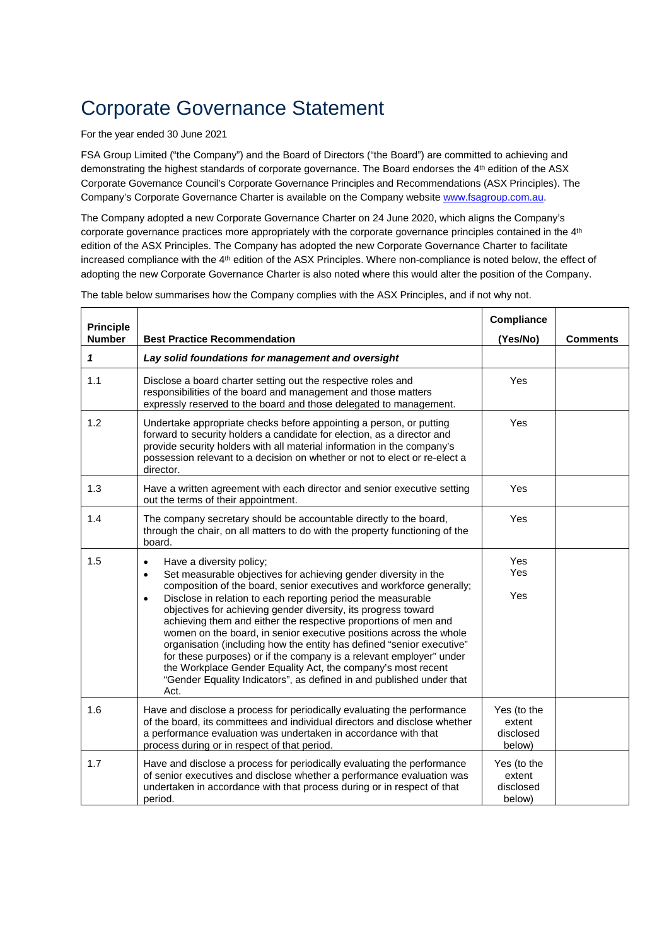#### For the year ended 30 June 2021

FSA Group Limited ("the Company") and the Board of Directors ("the Board") are committed to achieving and demonstrating the highest standards of corporate governance. The Board endorses the 4th edition of the ASX Corporate Governance Council's Corporate Governance Principles and Recommendations (ASX Principles). The Company's Corporate Governance Charter is available on the Company websit[e www.fsagroup.com.au.](http://www.fsagroup.com.au/)

The Company adopted a new Corporate Governance Charter on 24 June 2020, which aligns the Company's corporate governance practices more appropriately with the corporate governance principles contained in the 4<sup>th</sup> edition of the ASX Principles. The Company has adopted the new Corporate Governance Charter to facilitate increased compliance with the 4<sup>th</sup> edition of the ASX Principles. Where non-compliance is noted below, the effect of adopting the new Corporate Governance Charter is also noted where this would alter the position of the Company.

| <b>Principle</b><br><b>Number</b> | <b>Best Practice Recommendation</b>                                                                                                                                                                                                                                                                                                                                                                                                                                                                                                                                                                                                                                                                                                                                                   | Compliance<br>(Yes/No)                       | <b>Comments</b> |
|-----------------------------------|---------------------------------------------------------------------------------------------------------------------------------------------------------------------------------------------------------------------------------------------------------------------------------------------------------------------------------------------------------------------------------------------------------------------------------------------------------------------------------------------------------------------------------------------------------------------------------------------------------------------------------------------------------------------------------------------------------------------------------------------------------------------------------------|----------------------------------------------|-----------------|
| 1                                 | Lay solid foundations for management and oversight                                                                                                                                                                                                                                                                                                                                                                                                                                                                                                                                                                                                                                                                                                                                    |                                              |                 |
| 1.1                               | Disclose a board charter setting out the respective roles and<br>responsibilities of the board and management and those matters<br>expressly reserved to the board and those delegated to management.                                                                                                                                                                                                                                                                                                                                                                                                                                                                                                                                                                                 | Yes                                          |                 |
| 1.2                               | Undertake appropriate checks before appointing a person, or putting<br>forward to security holders a candidate for election, as a director and<br>provide security holders with all material information in the company's<br>possession relevant to a decision on whether or not to elect or re-elect a<br>director.                                                                                                                                                                                                                                                                                                                                                                                                                                                                  | Yes                                          |                 |
| 1.3                               | Have a written agreement with each director and senior executive setting<br>out the terms of their appointment.                                                                                                                                                                                                                                                                                                                                                                                                                                                                                                                                                                                                                                                                       | Yes                                          |                 |
| 1.4                               | The company secretary should be accountable directly to the board,<br>through the chair, on all matters to do with the property functioning of the<br>board.                                                                                                                                                                                                                                                                                                                                                                                                                                                                                                                                                                                                                          | Yes                                          |                 |
| 1.5                               | Have a diversity policy;<br>$\bullet$<br>Set measurable objectives for achieving gender diversity in the<br>$\bullet$<br>composition of the board, senior executives and workforce generally;<br>Disclose in relation to each reporting period the measurable<br>$\bullet$<br>objectives for achieving gender diversity, its progress toward<br>achieving them and either the respective proportions of men and<br>women on the board, in senior executive positions across the whole<br>organisation (including how the entity has defined "senior executive"<br>for these purposes) or if the company is a relevant employer" under<br>the Workplace Gender Equality Act, the company's most recent<br>"Gender Equality Indicators", as defined in and published under that<br>Act. | Yes<br><b>Yes</b><br>Yes                     |                 |
| 1.6                               | Have and disclose a process for periodically evaluating the performance<br>of the board, its committees and individual directors and disclose whether<br>a performance evaluation was undertaken in accordance with that<br>process during or in respect of that period.                                                                                                                                                                                                                                                                                                                                                                                                                                                                                                              | Yes (to the<br>extent<br>disclosed<br>below) |                 |
| 1.7                               | Have and disclose a process for periodically evaluating the performance<br>of senior executives and disclose whether a performance evaluation was<br>undertaken in accordance with that process during or in respect of that<br>period.                                                                                                                                                                                                                                                                                                                                                                                                                                                                                                                                               | Yes (to the<br>extent<br>disclosed<br>below) |                 |

The table below summarises how the Company complies with the ASX Principles, and if not why not.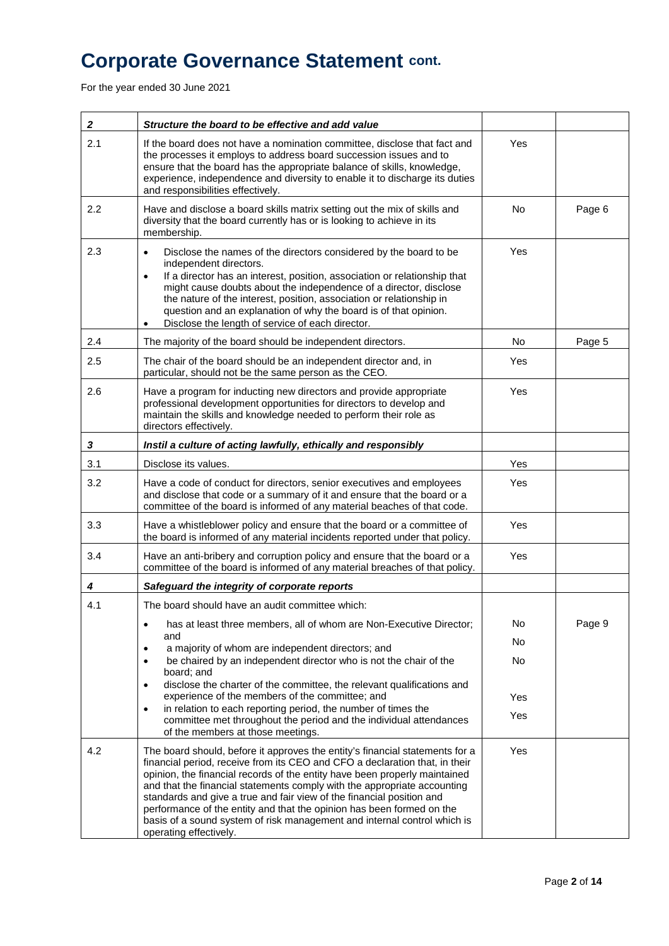For the year ended 30 June 2021

| $\boldsymbol{2}$ | Structure the board to be effective and add value                                                                                                                                                                                                                                                                                                                                                                                                                                                                                                                             |           |        |
|------------------|-------------------------------------------------------------------------------------------------------------------------------------------------------------------------------------------------------------------------------------------------------------------------------------------------------------------------------------------------------------------------------------------------------------------------------------------------------------------------------------------------------------------------------------------------------------------------------|-----------|--------|
| 2.1              | If the board does not have a nomination committee, disclose that fact and<br>the processes it employs to address board succession issues and to<br>ensure that the board has the appropriate balance of skills, knowledge,<br>experience, independence and diversity to enable it to discharge its duties<br>and responsibilities effectively.                                                                                                                                                                                                                                | Yes       |        |
| 2.2              | Have and disclose a board skills matrix setting out the mix of skills and<br>diversity that the board currently has or is looking to achieve in its<br>membership.                                                                                                                                                                                                                                                                                                                                                                                                            | <b>No</b> | Page 6 |
| 2.3              | Disclose the names of the directors considered by the board to be<br>$\bullet$<br>independent directors.<br>If a director has an interest, position, association or relationship that<br>$\bullet$<br>might cause doubts about the independence of a director, disclose<br>the nature of the interest, position, association or relationship in<br>question and an explanation of why the board is of that opinion.<br>Disclose the length of service of each director.<br>$\bullet$                                                                                          | Yes       |        |
| 2.4              | The majority of the board should be independent directors.                                                                                                                                                                                                                                                                                                                                                                                                                                                                                                                    | No        | Page 5 |
| 2.5              | The chair of the board should be an independent director and, in<br>particular, should not be the same person as the CEO.                                                                                                                                                                                                                                                                                                                                                                                                                                                     | Yes       |        |
| 2.6              | Have a program for inducting new directors and provide appropriate<br>professional development opportunities for directors to develop and<br>maintain the skills and knowledge needed to perform their role as<br>directors effectively.                                                                                                                                                                                                                                                                                                                                      | Yes       |        |
| 3                | Instil a culture of acting lawfully, ethically and responsibly                                                                                                                                                                                                                                                                                                                                                                                                                                                                                                                |           |        |
| 3.1              | Disclose its values.                                                                                                                                                                                                                                                                                                                                                                                                                                                                                                                                                          | Yes       |        |
| 3.2              | Have a code of conduct for directors, senior executives and employees<br>and disclose that code or a summary of it and ensure that the board or a<br>committee of the board is informed of any material beaches of that code.                                                                                                                                                                                                                                                                                                                                                 | Yes       |        |
| 3.3              | Have a whistleblower policy and ensure that the board or a committee of<br>the board is informed of any material incidents reported under that policy.                                                                                                                                                                                                                                                                                                                                                                                                                        | Yes       |        |
| 3.4              | Have an anti-bribery and corruption policy and ensure that the board or a<br>committee of the board is informed of any material breaches of that policy.                                                                                                                                                                                                                                                                                                                                                                                                                      | Yes       |        |
| 4                | Safeguard the integrity of corporate reports                                                                                                                                                                                                                                                                                                                                                                                                                                                                                                                                  |           |        |
| 4.1              | The board should have an audit committee which:                                                                                                                                                                                                                                                                                                                                                                                                                                                                                                                               |           |        |
|                  | has at least three members, all of whom are Non-Executive Director;<br>$\bullet$                                                                                                                                                                                                                                                                                                                                                                                                                                                                                              | No        | Page 9 |
|                  | and<br>a majority of whom are independent directors; and<br>$\bullet$                                                                                                                                                                                                                                                                                                                                                                                                                                                                                                         | No        |        |
|                  | be chaired by an independent director who is not the chair of the<br>$\bullet$<br>board; and<br>disclose the charter of the committee, the relevant qualifications and<br>$\bullet$                                                                                                                                                                                                                                                                                                                                                                                           | No        |        |
|                  | experience of the members of the committee; and                                                                                                                                                                                                                                                                                                                                                                                                                                                                                                                               | Yes       |        |
|                  | in relation to each reporting period, the number of times the<br>$\bullet$<br>committee met throughout the period and the individual attendances<br>of the members at those meetings.                                                                                                                                                                                                                                                                                                                                                                                         | Yes       |        |
| 4.2              | The board should, before it approves the entity's financial statements for a<br>financial period, receive from its CEO and CFO a declaration that, in their<br>opinion, the financial records of the entity have been properly maintained<br>and that the financial statements comply with the appropriate accounting<br>standards and give a true and fair view of the financial position and<br>performance of the entity and that the opinion has been formed on the<br>basis of a sound system of risk management and internal control which is<br>operating effectively. | Yes       |        |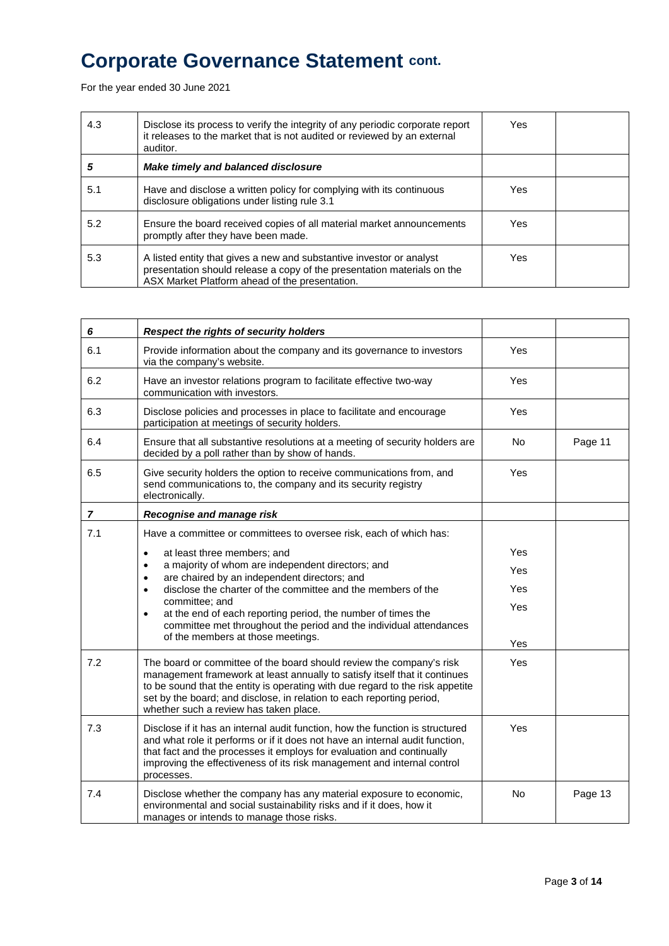For the year ended 30 June 2021

| 4.3 | Disclose its process to verify the integrity of any periodic corporate report<br>it releases to the market that is not audited or reviewed by an external<br>auditor.                             | Yes |  |
|-----|---------------------------------------------------------------------------------------------------------------------------------------------------------------------------------------------------|-----|--|
| 5   | Make timely and balanced disclosure                                                                                                                                                               |     |  |
| 5.1 | Have and disclose a written policy for complying with its continuous<br>disclosure obligations under listing rule 3.1                                                                             | Yes |  |
| 5.2 | Ensure the board received copies of all material market announcements<br>promptly after they have been made.                                                                                      | Yes |  |
| 5.3 | A listed entity that gives a new and substantive investor or analyst<br>presentation should release a copy of the presentation materials on the<br>ASX Market Platform ahead of the presentation. | Yes |  |

| 6              | Respect the rights of security holders                                                                                                                                                                                                                                                                                                                 |            |         |
|----------------|--------------------------------------------------------------------------------------------------------------------------------------------------------------------------------------------------------------------------------------------------------------------------------------------------------------------------------------------------------|------------|---------|
| 6.1            | Provide information about the company and its governance to investors<br>via the company's website.                                                                                                                                                                                                                                                    | Yes        |         |
| 6.2            | Have an investor relations program to facilitate effective two-way<br>communication with investors.                                                                                                                                                                                                                                                    | Yes        |         |
| 6.3            | Disclose policies and processes in place to facilitate and encourage<br>participation at meetings of security holders.                                                                                                                                                                                                                                 | <b>Yes</b> |         |
| 6.4            | Ensure that all substantive resolutions at a meeting of security holders are<br>decided by a poll rather than by show of hands.                                                                                                                                                                                                                        | <b>No</b>  | Page 11 |
| 6.5            | Give security holders the option to receive communications from, and<br>send communications to, the company and its security registry<br>electronically.                                                                                                                                                                                               | Yes        |         |
| $\overline{7}$ | Recognise and manage risk                                                                                                                                                                                                                                                                                                                              |            |         |
| 7.1            | Have a committee or committees to oversee risk, each of which has:                                                                                                                                                                                                                                                                                     |            |         |
|                | at least three members; and<br>$\bullet$                                                                                                                                                                                                                                                                                                               | Yes        |         |
|                | a majority of whom are independent directors; and<br>$\bullet$<br>are chaired by an independent directors; and<br>$\bullet$                                                                                                                                                                                                                            | Yes        |         |
|                | disclose the charter of the committee and the members of the<br>$\bullet$                                                                                                                                                                                                                                                                              | Yes        |         |
|                | committee; and<br>at the end of each reporting period, the number of times the<br>$\bullet$                                                                                                                                                                                                                                                            | Yes        |         |
|                | committee met throughout the period and the individual attendances<br>of the members at those meetings.                                                                                                                                                                                                                                                |            |         |
|                |                                                                                                                                                                                                                                                                                                                                                        | Yes        |         |
| 7.2            | The board or committee of the board should review the company's risk<br>management framework at least annually to satisfy itself that it continues<br>to be sound that the entity is operating with due regard to the risk appetite<br>set by the board; and disclose, in relation to each reporting period,<br>whether such a review has taken place. | <b>Yes</b> |         |
| 7.3            | Disclose if it has an internal audit function, how the function is structured<br>and what role it performs or if it does not have an internal audit function,<br>that fact and the processes it employs for evaluation and continually<br>improving the effectiveness of its risk management and internal control<br>processes.                        | Yes        |         |
| 7.4            | Disclose whether the company has any material exposure to economic,<br>environmental and social sustainability risks and if it does, how it<br>manages or intends to manage those risks.                                                                                                                                                               | <b>No</b>  | Page 13 |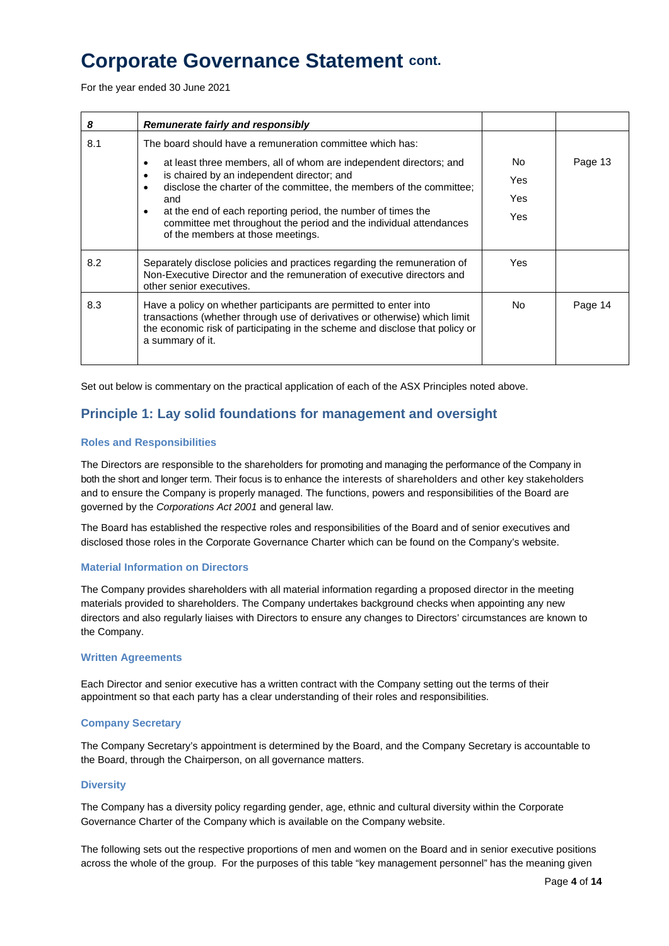For the year ended 30 June 2021

| 8   | Remunerate fairly and responsibly                                                                                                                                                                                                                   |     |         |
|-----|-----------------------------------------------------------------------------------------------------------------------------------------------------------------------------------------------------------------------------------------------------|-----|---------|
| 8.1 | The board should have a remuneration committee which has:                                                                                                                                                                                           |     |         |
|     | at least three members, all of whom are independent directors; and                                                                                                                                                                                  | No. | Page 13 |
|     | is chaired by an independent director; and<br>٠<br>disclose the charter of the committee, the members of the committee;<br>and                                                                                                                      | Yes |         |
|     |                                                                                                                                                                                                                                                     | Yes |         |
|     | at the end of each reporting period, the number of times the<br>committee met throughout the period and the individual attendances<br>of the members at those meetings.                                                                             | Yes |         |
| 8.2 | Separately disclose policies and practices regarding the remuneration of<br>Non-Executive Director and the remuneration of executive directors and<br>other senior executives.                                                                      | Yes |         |
| 8.3 | Have a policy on whether participants are permitted to enter into<br>transactions (whether through use of derivatives or otherwise) which limit<br>the economic risk of participating in the scheme and disclose that policy or<br>a summary of it. | No. | Page 14 |

Set out below is commentary on the practical application of each of the ASX Principles noted above.

### **Principle 1: Lay solid foundations for management and oversight**

#### **Roles and Responsibilities**

The Directors are responsible to the shareholders for promoting and managing the performance of the Company in both the short and longer term. Their focus is to enhance the interests of shareholders and other key stakeholders and to ensure the Company is properly managed. The functions, powers and responsibilities of the Board are governed by the *Corporations Act 2001* and general law.

The Board has established the respective roles and responsibilities of the Board and of senior executives and disclosed those roles in the Corporate Governance Charter which can be found on the Company's website.

#### **Material Information on Directors**

The Company provides shareholders with all material information regarding a proposed director in the meeting materials provided to shareholders. The Company undertakes background checks when appointing any new directors and also regularly liaises with Directors to ensure any changes to Directors' circumstances are known to the Company.

#### **Written Agreements**

Each Director and senior executive has a written contract with the Company setting out the terms of their appointment so that each party has a clear understanding of their roles and responsibilities.

#### **Company Secretary**

The Company Secretary's appointment is determined by the Board, and the Company Secretary is accountable to the Board, through the Chairperson, on all governance matters.

#### **Diversity**

The Company has a diversity policy regarding gender, age, ethnic and cultural diversity within the Corporate Governance Charter of the Company which is available on the Company website.

The following sets out the respective proportions of men and women on the Board and in senior executive positions across the whole of the group. For the purposes of this table "key management personnel" has the meaning given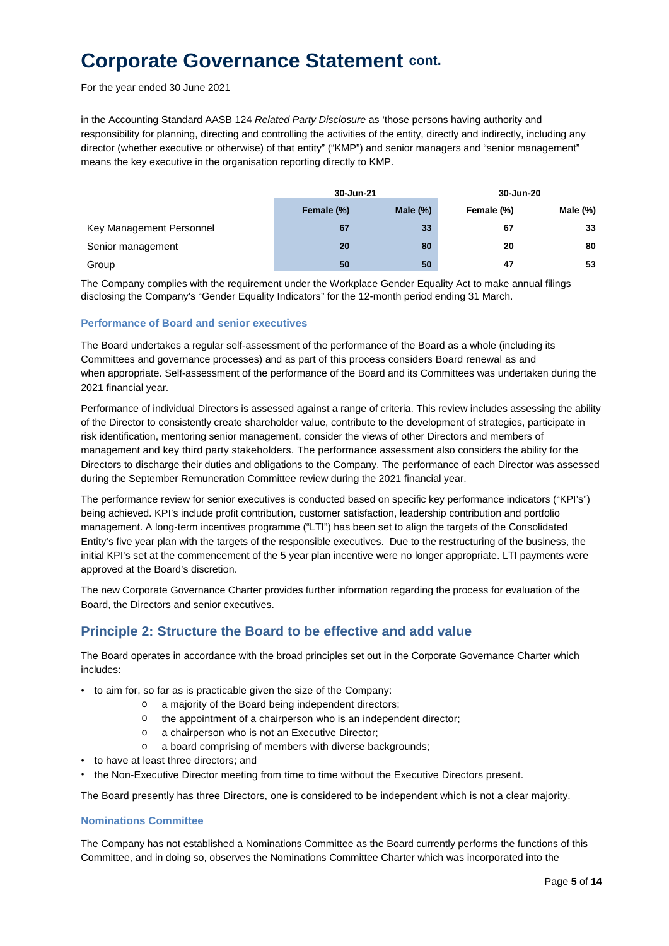For the year ended 30 June 2021

in the Accounting Standard AASB 124 *Related Party Disclosure* as 'those persons having authority and responsibility for planning, directing and controlling the activities of the entity, directly and indirectly, including any director (whether executive or otherwise) of that entity" ("KMP") and senior managers and "senior management" means the key executive in the organisation reporting directly to KMP.

|                          | 30-Jun-21  |             | 30-Jun-20  |             |
|--------------------------|------------|-------------|------------|-------------|
|                          | Female (%) | Male $(\%)$ | Female (%) | Male $(\%)$ |
| Key Management Personnel | 67         | 33          | 67         | 33          |
| Senior management        | 20         | 80          | 20         | 80          |
| Group                    | 50         | 50          | 47         | 53          |

The Company complies with the requirement under the Workplace Gender Equality Act to make annual filings disclosing the Company's "Gender Equality Indicators" for the 12-month period ending 31 March.

#### **Performance of Board and senior executives**

The Board undertakes a regular self-assessment of the performance of the Board as a whole (including its Committees and governance processes) and as part of this process considers Board renewal as and when appropriate. Self-assessment of the performance of the Board and its Committees was undertaken during the 2021 financial year.

Performance of individual Directors is assessed against a range of criteria. This review includes assessing the ability of the Director to consistently create shareholder value, contribute to the development of strategies, participate in risk identification, mentoring senior management, consider the views of other Directors and members of management and key third party stakeholders. The performance assessment also considers the ability for the Directors to discharge their duties and obligations to the Company. The performance of each Director was assessed during the September Remuneration Committee review during the 2021 financial year.

The performance review for senior executives is conducted based on specific key performance indicators ("KPI's") being achieved. KPI's include profit contribution, customer satisfaction, leadership contribution and portfolio management. A long-term incentives programme ("LTI") has been set to align the targets of the Consolidated Entity's five year plan with the targets of the responsible executives. Due to the restructuring of the business, the initial KPI's set at the commencement of the 5 year plan incentive were no longer appropriate. LTI payments were approved at the Board's discretion.

The new Corporate Governance Charter provides further information regarding the process for evaluation of the Board, the Directors and senior executives.

### **Principle 2: Structure the Board to be effective and add value**

The Board operates in accordance with the broad principles set out in the Corporate Governance Charter which includes:

- to aim for, so far as is practicable given the size of the Company:
	- o a majority of the Board being independent directors;
		- o the appointment of a chairperson who is an independent director;
		- o a chairperson who is not an Executive Director;
		- o a board comprising of members with diverse backgrounds;
- to have at least three directors; and
- the Non-Executive Director meeting from time to time without the Executive Directors present.

The Board presently has three Directors, one is considered to be independent which is not a clear majority.

#### **Nominations Committee**

The Company has not established a Nominations Committee as the Board currently performs the functions of this Committee, and in doing so, observes the Nominations Committee Charter which was incorporated into the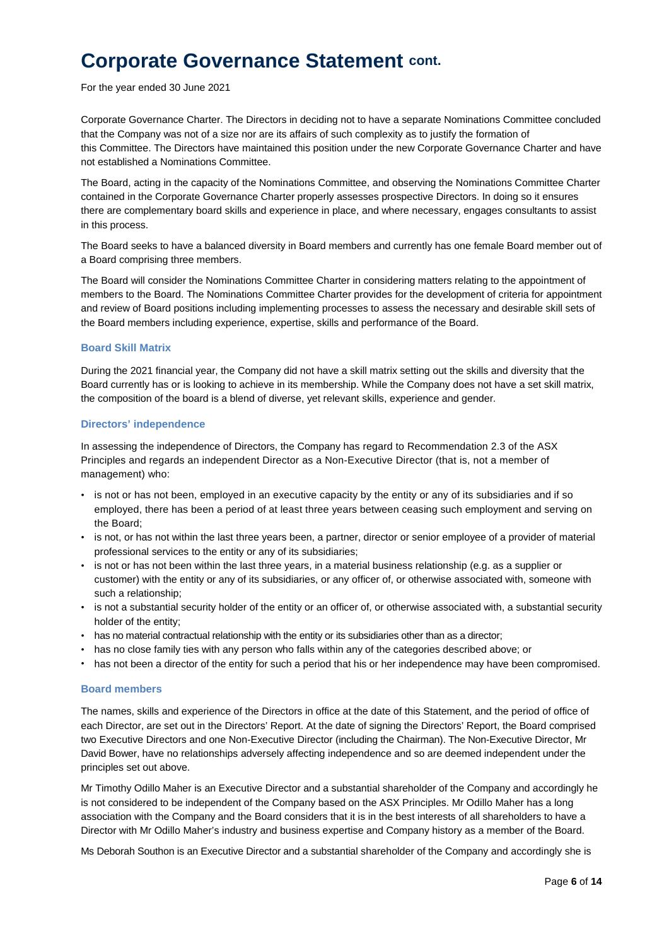For the year ended 30 June 2021

Corporate Governance Charter. The Directors in deciding not to have a separate Nominations Committee concluded that the Company was not of a size nor are its affairs of such complexity as to justify the formation of this Committee. The Directors have maintained this position under the new Corporate Governance Charter and have not established a Nominations Committee.

The Board, acting in the capacity of the Nominations Committee, and observing the Nominations Committee Charter contained in the Corporate Governance Charter properly assesses prospective Directors. In doing so it ensures there are complementary board skills and experience in place, and where necessary, engages consultants to assist in this process.

The Board seeks to have a balanced diversity in Board members and currently has one female Board member out of a Board comprising three members.

The Board will consider the Nominations Committee Charter in considering matters relating to the appointment of members to the Board. The Nominations Committee Charter provides for the development of criteria for appointment and review of Board positions including implementing processes to assess the necessary and desirable skill sets of the Board members including experience, expertise, skills and performance of the Board.

#### **Board Skill Matrix**

During the 2021 financial year, the Company did not have a skill matrix setting out the skills and diversity that the Board currently has or is looking to achieve in its membership. While the Company does not have a set skill matrix, the composition of the board is a blend of diverse, yet relevant skills, experience and gender.

#### **Directors' independence**

In assessing the independence of Directors, the Company has regard to Recommendation 2.3 of the ASX Principles and regards an independent Director as a Non-Executive Director (that is, not a member of management) who:

- is not or has not been, employed in an executive capacity by the entity or any of its subsidiaries and if so employed, there has been a period of at least three years between ceasing such employment and serving on the Board;
- is not, or has not within the last three years been, a partner, director or senior employee of a provider of material professional services to the entity or any of its subsidiaries;
- is not or has not been within the last three years, in a material business relationship (e.g. as a supplier or customer) with the entity or any of its subsidiaries, or any officer of, or otherwise associated with, someone with such a relationship;
- is not a substantial security holder of the entity or an officer of, or otherwise associated with, a substantial security holder of the entity;
- has no material contractual relationship with the entity or its subsidiaries other than as a director;
- has no close family ties with any person who falls within any of the categories described above; or
- has not been a director of the entity for such a period that his or her independence may have been compromised.

#### **Board members**

The names, skills and experience of the Directors in office at the date of this Statement, and the period of office of each Director, are set out in the Directors' Report. At the date of signing the Directors' Report, the Board comprised two Executive Directors and one Non-Executive Director (including the Chairman). The Non-Executive Director, Mr David Bower, have no relationships adversely affecting independence and so are deemed independent under the principles set out above.

Mr Timothy Odillo Maher is an Executive Director and a substantial shareholder of the Company and accordingly he is not considered to be independent of the Company based on the ASX Principles. Mr Odillo Maher has a long association with the Company and the Board considers that it is in the best interests of all shareholders to have a Director with Mr Odillo Maher's industry and business expertise and Company history as a member of the Board.

Ms Deborah Southon is an Executive Director and a substantial shareholder of the Company and accordingly she is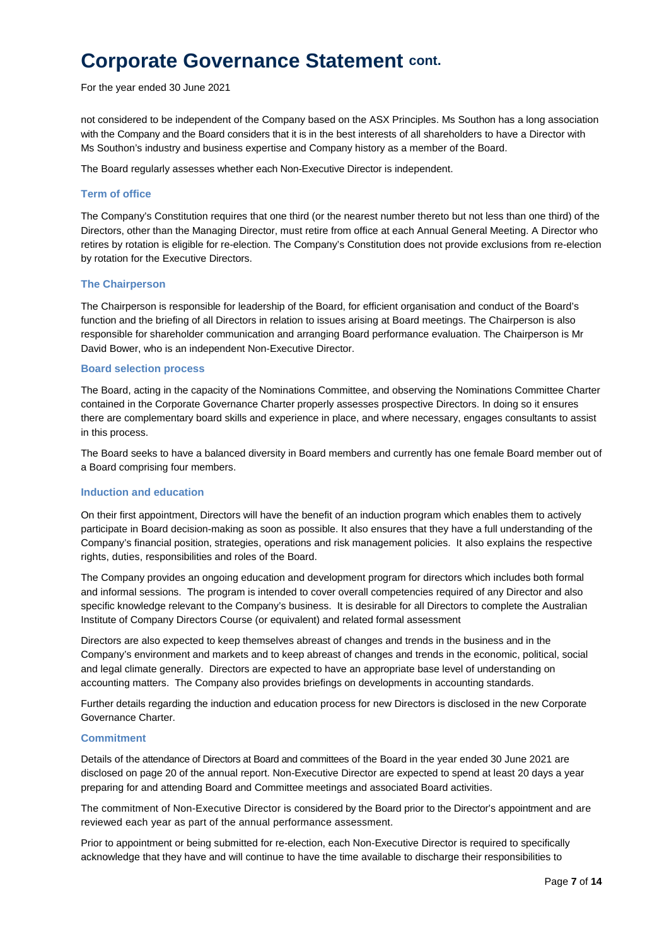For the year ended 30 June 2021

not considered to be independent of the Company based on the ASX Principles. Ms Southon has a long association with the Company and the Board considers that it is in the best interests of all shareholders to have a Director with Ms Southon's industry and business expertise and Company history as a member of the Board.

The Board regularly assesses whether each Non-Executive Director is independent.

#### **Term of office**

The Company's Constitution requires that one third (or the nearest number thereto but not less than one third) of the Directors, other than the Managing Director, must retire from office at each Annual General Meeting. A Director who retires by rotation is eligible for re-election. The Company's Constitution does not provide exclusions from re-election by rotation for the Executive Directors.

#### **The Chairperson**

The Chairperson is responsible for leadership of the Board, for efficient organisation and conduct of the Board's function and the briefing of all Directors in relation to issues arising at Board meetings. The Chairperson is also responsible for shareholder communication and arranging Board performance evaluation. The Chairperson is Mr David Bower, who is an independent Non-Executive Director.

#### **Board selection process**

The Board, acting in the capacity of the Nominations Committee, and observing the Nominations Committee Charter contained in the Corporate Governance Charter properly assesses prospective Directors. In doing so it ensures there are complementary board skills and experience in place, and where necessary, engages consultants to assist in this process.

The Board seeks to have a balanced diversity in Board members and currently has one female Board member out of a Board comprising four members.

#### **Induction and education**

On their first appointment, Directors will have the benefit of an induction program which enables them to actively participate in Board decision-making as soon as possible. It also ensures that they have a full understanding of the Company's financial position, strategies, operations and risk management policies. It also explains the respective rights, duties, responsibilities and roles of the Board.

The Company provides an ongoing education and development program for directors which includes both formal and informal sessions. The program is intended to cover overall competencies required of any Director and also specific knowledge relevant to the Company's business. It is desirable for all Directors to complete the Australian Institute of Company Directors Course (or equivalent) and related formal assessment

Directors are also expected to keep themselves abreast of changes and trends in the business and in the Company's environment and markets and to keep abreast of changes and trends in the economic, political, social and legal climate generally. Directors are expected to have an appropriate base level of understanding on accounting matters. The Company also provides briefings on developments in accounting standards.

Further details regarding the induction and education process for new Directors is disclosed in the new Corporate Governance Charter.

#### **Commitment**

Details of the attendance of Directors at Board and committees of the Board in the year ended 30 June 2021 are disclosed on page 20 of the annual report. Non-Executive Director are expected to spend at least 20 days a year preparing for and attending Board and Committee meetings and associated Board activities.

The commitment of Non-Executive Director is considered by the Board prior to the Director's appointment and are reviewed each year as part of the annual performance assessment.

Prior to appointment or being submitted for re-election, each Non-Executive Director is required to specifically acknowledge that they have and will continue to have the time available to discharge their responsibilities to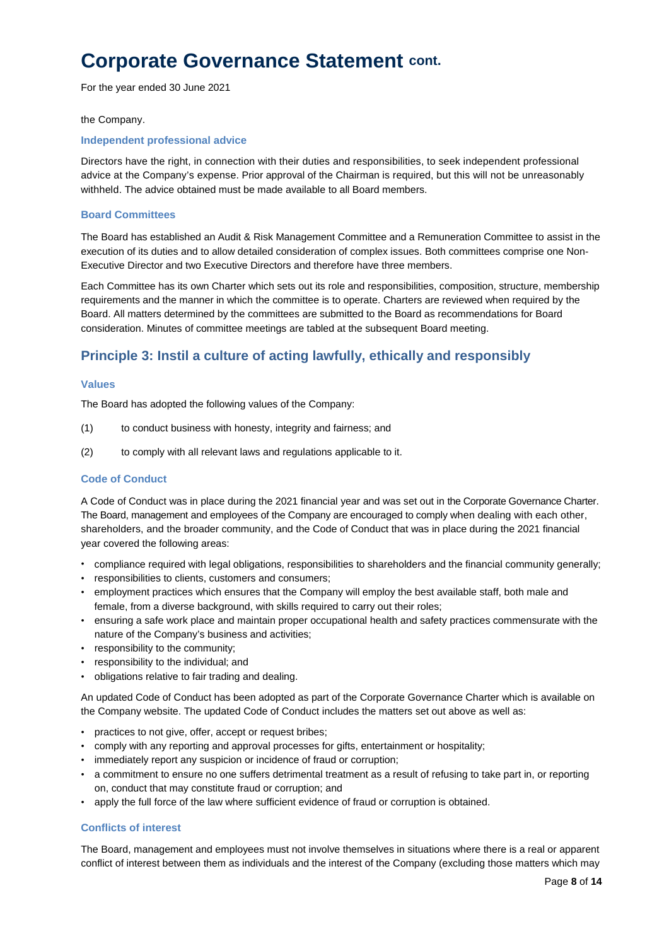For the year ended 30 June 2021

#### the Company.

#### **Independent professional advice**

Directors have the right, in connection with their duties and responsibilities, to seek independent professional advice at the Company's expense. Prior approval of the Chairman is required, but this will not be unreasonably withheld. The advice obtained must be made available to all Board members.

#### **Board Committees**

The Board has established an Audit & Risk Management Committee and a Remuneration Committee to assist in the execution of its duties and to allow detailed consideration of complex issues. Both committees comprise one Non-Executive Director and two Executive Directors and therefore have three members.

Each Committee has its own Charter which sets out its role and responsibilities, composition, structure, membership requirements and the manner in which the committee is to operate. Charters are reviewed when required by the Board. All matters determined by the committees are submitted to the Board as recommendations for Board consideration. Minutes of committee meetings are tabled at the subsequent Board meeting.

### **Principle 3: Instil a culture of acting lawfully, ethically and responsibly**

#### **Values**

The Board has adopted the following values of the Company:

- (1) to conduct business with honesty, integrity and fairness; and
- (2) to comply with all relevant laws and regulations applicable to it.

#### **Code of Conduct**

A Code of Conduct was in place during the 2021 financial year and was set out in the Corporate Governance Charter. The Board, management and employees of the Company are encouraged to comply when dealing with each other, shareholders, and the broader community, and the Code of Conduct that was in place during the 2021 financial year covered the following areas:

- compliance required with legal obligations, responsibilities to shareholders and the financial community generally;
- responsibilities to clients, customers and consumers;
- employment practices which ensures that the Company will employ the best available staff, both male and female, from a diverse background, with skills required to carry out their roles;
- ensuring a safe work place and maintain proper occupational health and safety practices commensurate with the nature of the Company's business and activities;
- responsibility to the community;
- responsibility to the individual; and
- obligations relative to fair trading and dealing.

An updated Code of Conduct has been adopted as part of the Corporate Governance Charter which is available on the Company website. The updated Code of Conduct includes the matters set out above as well as:

- practices to not give, offer, accept or request bribes;
- comply with any reporting and approval processes for gifts, entertainment or hospitality;
- immediately report any suspicion or incidence of fraud or corruption;
- a commitment to ensure no one suffers detrimental treatment as a result of refusing to take part in, or reporting on, conduct that may constitute fraud or corruption; and
- apply the full force of the law where sufficient evidence of fraud or corruption is obtained.

#### **Conflicts of interest**

The Board, management and employees must not involve themselves in situations where there is a real or apparent conflict of interest between them as individuals and the interest of the Company (excluding those matters which may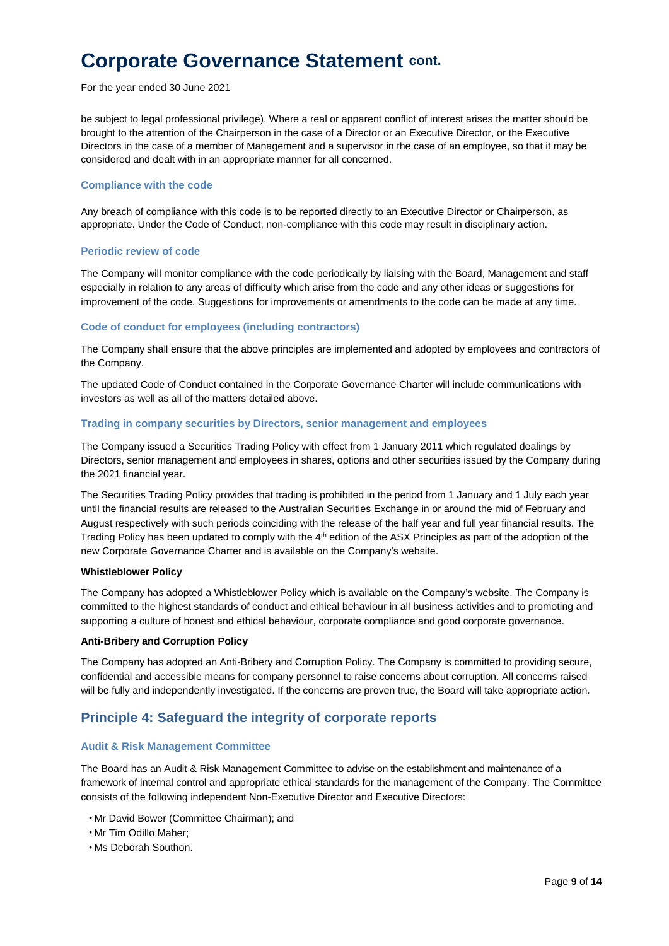For the year ended 30 June 2021

be subject to legal professional privilege). Where a real or apparent conflict of interest arises the matter should be brought to the attention of the Chairperson in the case of a Director or an Executive Director, or the Executive Directors in the case of a member of Management and a supervisor in the case of an employee, so that it may be considered and dealt with in an appropriate manner for all concerned.

#### **Compliance with the code**

Any breach of compliance with this code is to be reported directly to an Executive Director or Chairperson, as appropriate. Under the Code of Conduct, non-compliance with this code may result in disciplinary action.

#### **Periodic review of code**

The Company will monitor compliance with the code periodically by liaising with the Board, Management and staff especially in relation to any areas of difficulty which arise from the code and any other ideas or suggestions for improvement of the code. Suggestions for improvements or amendments to the code can be made at any time.

#### **Code of conduct for employees (including contractors)**

The Company shall ensure that the above principles are implemented and adopted by employees and contractors of the Company.

The updated Code of Conduct contained in the Corporate Governance Charter will include communications with investors as well as all of the matters detailed above.

#### **Trading in company securities by Directors, senior management and employees**

The Company issued a Securities Trading Policy with effect from 1 January 2011 which regulated dealings by Directors, senior management and employees in shares, options and other securities issued by the Company during the 2021 financial year.

The Securities Trading Policy provides that trading is prohibited in the period from 1 January and 1 July each year until the financial results are released to the Australian Securities Exchange in or around the mid of February and August respectively with such periods coinciding with the release of the half year and full year financial results. The Trading Policy has been updated to comply with the 4<sup>th</sup> edition of the ASX Principles as part of the adoption of the new Corporate Governance Charter and is available on the Company's website.

#### **Whistleblower Policy**

The Company has adopted a Whistleblower Policy which is available on the Company's website. The Company is committed to the highest standards of conduct and ethical behaviour in all business activities and to promoting and supporting a culture of honest and ethical behaviour, corporate compliance and good corporate governance.

#### **Anti-Bribery and Corruption Policy**

The Company has adopted an Anti-Bribery and Corruption Policy. The Company is committed to providing secure, confidential and accessible means for company personnel to raise concerns about corruption. All concerns raised will be fully and independently investigated. If the concerns are proven true, the Board will take appropriate action.

### **Principle 4: Safeguard the integrity of corporate reports**

#### **Audit & Risk Management Committee**

The Board has an Audit & Risk Management Committee to advise on the establishment and maintenance of a framework of internal control and appropriate ethical standards for the management of the Company. The Committee consists of the following independent Non-Executive Director and Executive Directors:

- Mr David Bower (Committee Chairman); and
- Mr Tim Odillo Maher;
- Ms Deborah Southon.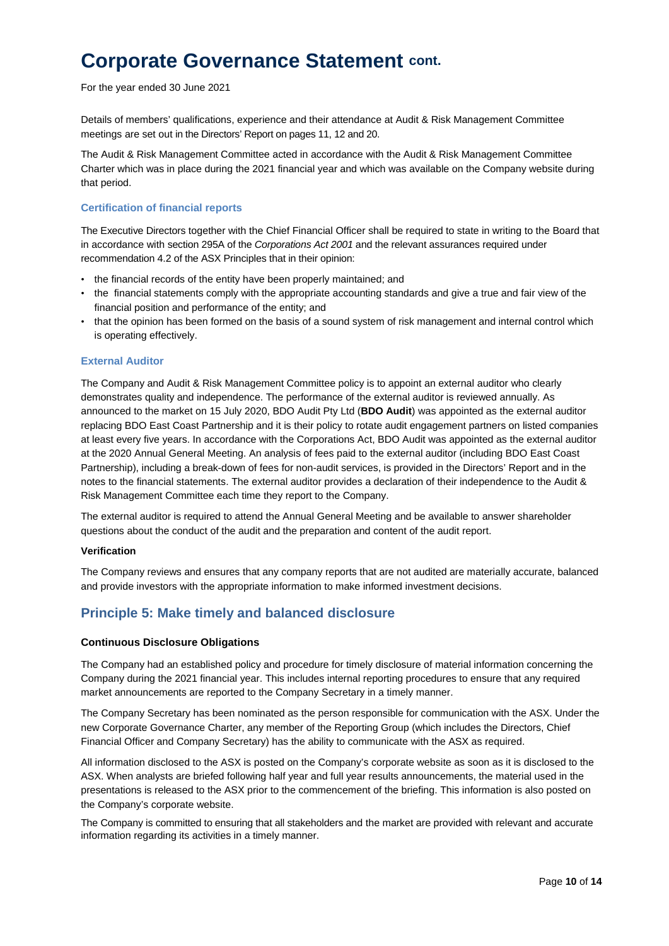For the year ended 30 June 2021

Details of members' qualifications, experience and their attendance at Audit & Risk Management Committee meetings are set out in the Directors' Report on pages 11, 12 and 20.

The Audit & Risk Management Committee acted in accordance with the Audit & Risk Management Committee Charter which was in place during the 2021 financial year and which was available on the Company website during that period.

#### **Certification of financial reports**

The Executive Directors together with the Chief Financial Officer shall be required to state in writing to the Board that in accordance with section 295A of the *Corporations Act 2001* and the relevant assurances required under recommendation 4.2 of the ASX Principles that in their opinion:

- the financial records of the entity have been properly maintained; and
- the financial statements comply with the appropriate accounting standards and give a true and fair view of the financial position and performance of the entity; and
- that the opinion has been formed on the basis of a sound system of risk management and internal control which is operating effectively.

#### **External Auditor**

The Company and Audit & Risk Management Committee policy is to appoint an external auditor who clearly demonstrates quality and independence. The performance of the external auditor is reviewed annually. As announced to the market on 15 July 2020, BDO Audit Pty Ltd (**BDO Audit**) was appointed as the external auditor replacing BDO East Coast Partnership and it is their policy to rotate audit engagement partners on listed companies at least every five years. In accordance with the Corporations Act, BDO Audit was appointed as the external auditor at the 2020 Annual General Meeting. An analysis of fees paid to the external auditor (including BDO East Coast Partnership), including a break-down of fees for non-audit services, is provided in the Directors' Report and in the notes to the financial statements. The external auditor provides a declaration of their independence to the Audit & Risk Management Committee each time they report to the Company.

The external auditor is required to attend the Annual General Meeting and be available to answer shareholder questions about the conduct of the audit and the preparation and content of the audit report.

#### **Verification**

The Company reviews and ensures that any company reports that are not audited are materially accurate, balanced and provide investors with the appropriate information to make informed investment decisions.

### **Principle 5: Make timely and balanced disclosure**

#### **Continuous Disclosure Obligations**

The Company had an established policy and procedure for timely disclosure of material information concerning the Company during the 2021 financial year. This includes internal reporting procedures to ensure that any required market announcements are reported to the Company Secretary in a timely manner.

The Company Secretary has been nominated as the person responsible for communication with the ASX. Under the new Corporate Governance Charter, any member of the Reporting Group (which includes the Directors, Chief Financial Officer and Company Secretary) has the ability to communicate with the ASX as required.

All information disclosed to the ASX is posted on the Company's corporate website as soon as it is disclosed to the ASX. When analysts are briefed following half year and full year results announcements, the material used in the presentations is released to the ASX prior to the commencement of the briefing. This information is also posted on the Company's corporate website.

The Company is committed to ensuring that all stakeholders and the market are provided with relevant and accurate information regarding its activities in a timely manner.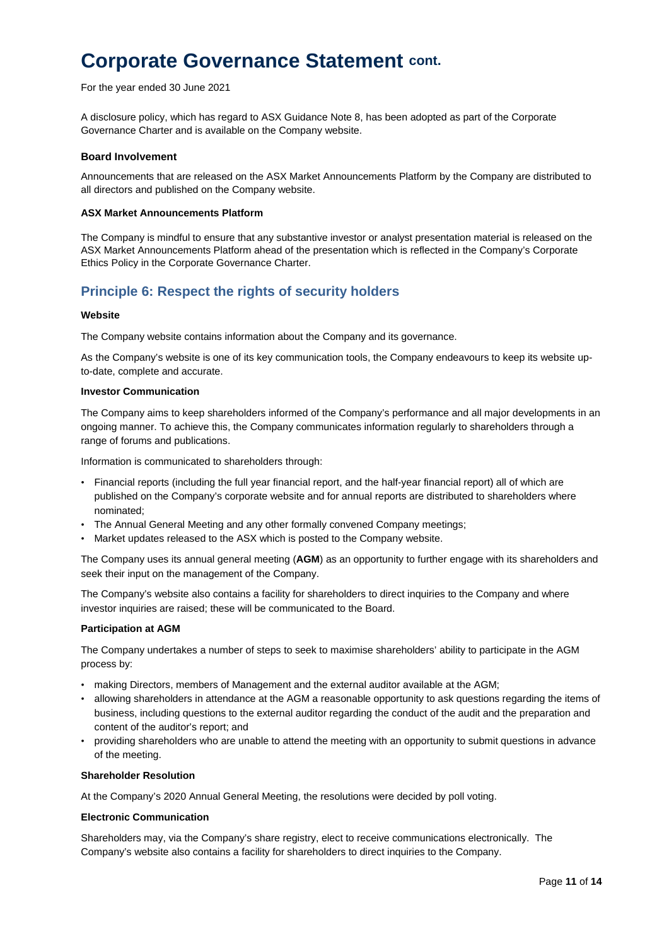For the year ended 30 June 2021

A disclosure policy, which has regard to ASX Guidance Note 8, has been adopted as part of the Corporate Governance Charter and is available on the Company website.

#### **Board Involvement**

Announcements that are released on the ASX Market Announcements Platform by the Company are distributed to all directors and published on the Company website.

#### **ASX Market Announcements Platform**

The Company is mindful to ensure that any substantive investor or analyst presentation material is released on the ASX Market Announcements Platform ahead of the presentation which is reflected in the Company's Corporate Ethics Policy in the Corporate Governance Charter.

### **Principle 6: Respect the rights of security holders**

#### **Website**

The Company website contains information about the Company and its governance.

As the Company's website is one of its key communication tools, the Company endeavours to keep its website upto-date, complete and accurate.

#### **Investor Communication**

The Company aims to keep shareholders informed of the Company's performance and all major developments in an ongoing manner. To achieve this, the Company communicates information regularly to shareholders through a range of forums and publications.

Information is communicated to shareholders through:

- Financial reports (including the full year financial report, and the half-year financial report) all of which are published on the Company's corporate website and for annual reports are distributed to shareholders where nominated;
- The Annual General Meeting and any other formally convened Company meetings;
- Market updates released to the ASX which is posted to the Company website.

The Company uses its annual general meeting (**AGM**) as an opportunity to further engage with its shareholders and seek their input on the management of the Company.

The Company's website also contains a facility for shareholders to direct inquiries to the Company and where investor inquiries are raised; these will be communicated to the Board.

#### **Participation at AGM**

The Company undertakes a number of steps to seek to maximise shareholders' ability to participate in the AGM process by:

- making Directors, members of Management and the external auditor available at the AGM;
- allowing shareholders in attendance at the AGM a reasonable opportunity to ask questions regarding the items of business, including questions to the external auditor regarding the conduct of the audit and the preparation and content of the auditor's report; and
- providing shareholders who are unable to attend the meeting with an opportunity to submit questions in advance of the meeting.

#### **Shareholder Resolution**

At the Company's 2020 Annual General Meeting, the resolutions were decided by poll voting.

#### **Electronic Communication**

Shareholders may, via the Company's share registry, elect to receive communications electronically. The Company's website also contains a facility for shareholders to direct inquiries to the Company.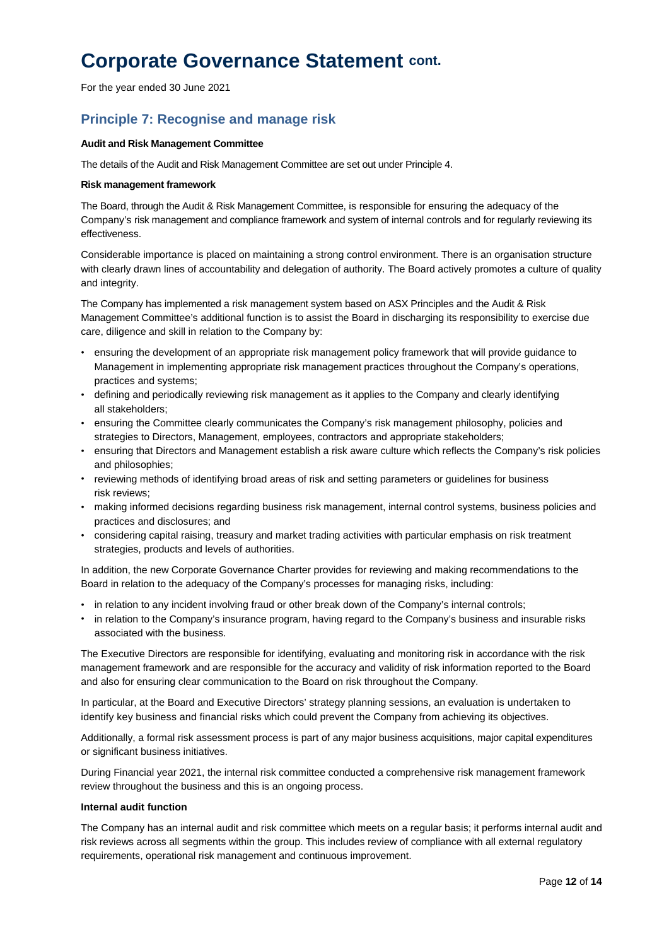For the year ended 30 June 2021

### **Principle 7: Recognise and manage risk**

#### **Audit and Risk Management Committee**

The details of the Audit and Risk Management Committee are set out under Principle 4.

#### **Risk management framework**

The Board, through the Audit & Risk Management Committee, is responsible for ensuring the adequacy of the Company's risk management and compliance framework and system of internal controls and for regularly reviewing its effectiveness.

Considerable importance is placed on maintaining a strong control environment. There is an organisation structure with clearly drawn lines of accountability and delegation of authority. The Board actively promotes a culture of quality and integrity.

The Company has implemented a risk management system based on ASX Principles and the Audit & Risk Management Committee's additional function is to assist the Board in discharging its responsibility to exercise due care, diligence and skill in relation to the Company by:

- ensuring the development of an appropriate risk management policy framework that will provide guidance to Management in implementing appropriate risk management practices throughout the Company's operations, practices and systems;
- defining and periodically reviewing risk management as it applies to the Company and clearly identifying all stakeholders;
- ensuring the Committee clearly communicates the Company's risk management philosophy, policies and strategies to Directors, Management, employees, contractors and appropriate stakeholders;
- ensuring that Directors and Management establish a risk aware culture which reflects the Company's risk policies and philosophies;
- reviewing methods of identifying broad areas of risk and setting parameters or guidelines for business risk reviews;
- making informed decisions regarding business risk management, internal control systems, business policies and practices and disclosures; and
- considering capital raising, treasury and market trading activities with particular emphasis on risk treatment strategies, products and levels of authorities.

In addition, the new Corporate Governance Charter provides for reviewing and making recommendations to the Board in relation to the adequacy of the Company's processes for managing risks, including:

- in relation to any incident involving fraud or other break down of the Company's internal controls;
- in relation to the Company's insurance program, having regard to the Company's business and insurable risks associated with the business.

The Executive Directors are responsible for identifying, evaluating and monitoring risk in accordance with the risk management framework and are responsible for the accuracy and validity of risk information reported to the Board and also for ensuring clear communication to the Board on risk throughout the Company.

In particular, at the Board and Executive Directors' strategy planning sessions, an evaluation is undertaken to identify key business and financial risks which could prevent the Company from achieving its objectives.

Additionally, a formal risk assessment process is part of any major business acquisitions, major capital expenditures or significant business initiatives.

During Financial year 2021, the internal risk committee conducted a comprehensive risk management framework review throughout the business and this is an ongoing process.

#### **Internal audit function**

The Company has an internal audit and risk committee which meets on a regular basis; it performs internal audit and risk reviews across all segments within the group. This includes review of compliance with all external regulatory requirements, operational risk management and continuous improvement.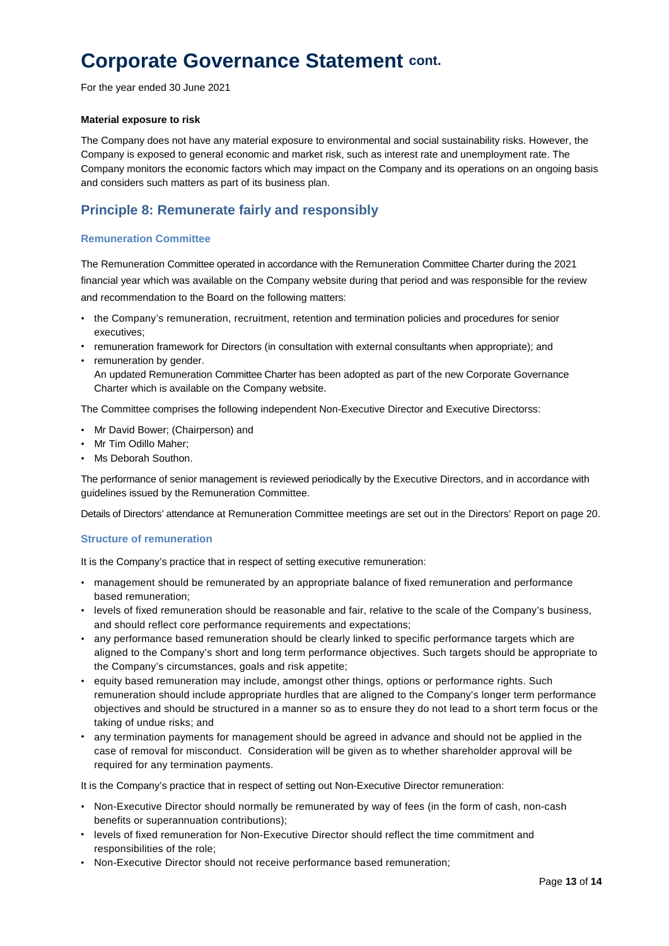For the year ended 30 June 2021

#### **Material exposure to risk**

The Company does not have any material exposure to environmental and social sustainability risks. However, the Company is exposed to general economic and market risk, such as interest rate and unemployment rate. The Company monitors the economic factors which may impact on the Company and its operations on an ongoing basis and considers such matters as part of its business plan.

### **Principle 8: Remunerate fairly and responsibly**

#### **Remuneration Committee**

The Remuneration Committee operated in accordance with the Remuneration Committee Charter during the 2021 financial year which was available on the Company website during that period and was responsible for the review and recommendation to the Board on the following matters:

- the Company's remuneration, recruitment, retention and termination policies and procedures for senior executives;
- remuneration framework for Directors (in consultation with external consultants when appropriate); and
- remuneration by gender.

An updated Remuneration Committee Charter has been adopted as part of the new Corporate Governance Charter which is available on the Company website.

The Committee comprises the following independent Non-Executive Director and Executive Directorss:

- Mr David Bower; (Chairperson) and
- Mr Tim Odillo Maher;
- Ms Deborah Southon.

The performance of senior management is reviewed periodically by the Executive Directors, and in accordance with guidelines issued by the Remuneration Committee.

Details of Directors' attendance at Remuneration Committee meetings are set out in the Directors' Report on page 20.

#### **Structure of remuneration**

It is the Company's practice that in respect of setting executive remuneration:

- management should be remunerated by an appropriate balance of fixed remuneration and performance based remuneration;
- levels of fixed remuneration should be reasonable and fair, relative to the scale of the Company's business, and should reflect core performance requirements and expectations;
- any performance based remuneration should be clearly linked to specific performance targets which are aligned to the Company's short and long term performance objectives. Such targets should be appropriate to the Company's circumstances, goals and risk appetite;
- equity based remuneration may include, amongst other things, options or performance rights. Such remuneration should include appropriate hurdles that are aligned to the Company's longer term performance objectives and should be structured in a manner so as to ensure they do not lead to a short term focus or the taking of undue risks; and
- any termination payments for management should be agreed in advance and should not be applied in the case of removal for misconduct. Consideration will be given as to whether shareholder approval will be required for any termination payments.

It is the Company's practice that in respect of setting out Non-Executive Director remuneration:

- Non-Executive Director should normally be remunerated by way of fees (in the form of cash, non-cash benefits or superannuation contributions);
- levels of fixed remuneration for Non-Executive Director should reflect the time commitment and responsibilities of the role;
- Non-Executive Director should not receive performance based remuneration;